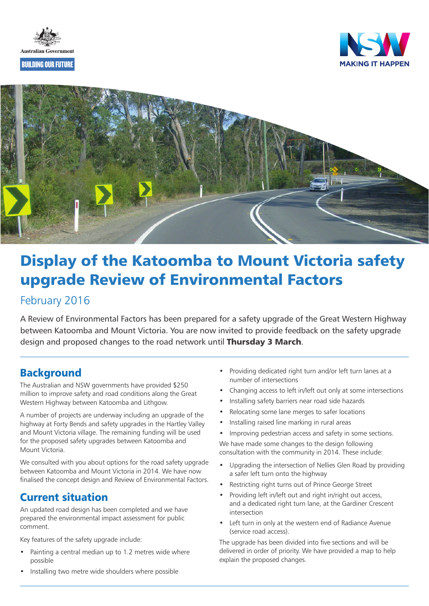





# **Display of the Katoomba to Mount Victoria safety upgrade Review of Environmental Factors**

### February 2016

A Review of Environmental Factors has been prepared for a safety upgrade of the Great Western Highway between Katoomba and Mount Victoria. You are now invited to provide feedback on the safety upgrade design and proposed changes to the road network until **Thursday 3 March**.

# **Background**

The Australian and NSW governments have provided \$250 million to improve safety and road conditions along the Great Western Highway between Katoomba and Lithgow.

A number of projects are underway including an upgrade of the highway at Forty Bends and safety upgrades in the Hartley Valley and Mount Victoria village. The remaining funding will be used for the proposed safety upgrades between Katoomba and Mount Victoria.

We consulted with you about options for the road safety upgrade between Katoomba and Mount Victoria in 2014. We have now finalised the concept design and Review of Environmental Factors.

# **Current situation**

An updated road design has been completed and we have prepared the environmental impact assessment for public comment.

Key features of the safety upgrade include:

- Painting a central median up to 1.2 metres wide where possible
- Installing two metre wide shoulders where possible
- Providing dedicated right turn and/or left turn lanes at a number of intersections
- Changing access to left in/left out only at some intersections
- Installing safety barriers near road side hazards
- Relocating some lane merges to safer locations
- Installing raised line marking in rural areas
- Improving pedestrian access and safety in some sections.

We have made some changes to the design following consultation with the community in 2014. These include:

- Upgrading the intersection of Nellies Glen Road by providing a safer left turn onto the highway
- Restricting right turns out of Prince George Street
- Providing left in/left out and right in/right out access, and a dedicated right turn lane, at the Gardiner Crescent intersection
- Left turn in only at the western end of Radiance Avenue (service road access).

The upgrade has been divided into five sections and will be delivered in order of priority. We have provided a map to help explain the proposed changes.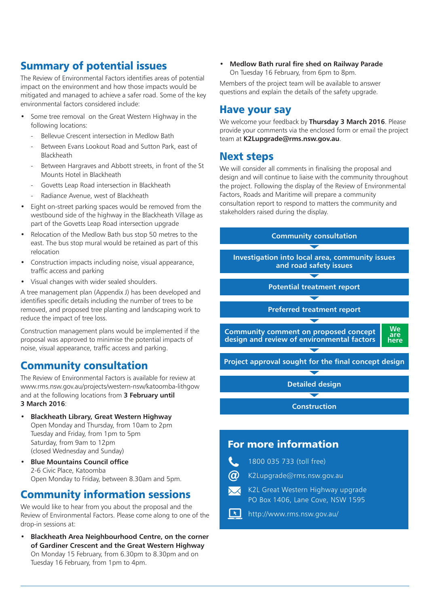# **Summary of potential issues**

The Review of Environmental Factors identifies areas of potential impact on the environment and how those impacts would be mitigated and managed to achieve a safer road. Some of the key environmental factors considered include:

- Some tree removal on the Great Western Highway in the following locations:
	- Bellevue Crescent intersection in Medlow Bath
	- Between Evans Lookout Road and Sutton Park, east of Blackheath
	- Between Hargraves and Abbott streets, in front of the St Mounts Hotel in Blackheath
	- Govetts Leap Road intersection in Blackheath
	- Radiance Avenue, west of Blackheath
- Eight on-street parking spaces would be removed from the westbound side of the highway in the Blackheath Village as part of the Govetts Leap Road intersection upgrade
- Relocation of the Medlow Bath bus stop 50 metres to the east. The bus stop mural would be retained as part of this relocation
- Construction impacts including noise, visual appearance, traffic access and parking
- Visual changes with wider sealed shoulders.

A tree management plan (Appendix J) has been developed and identifies specific details including the number of trees to be removed, and proposed tree planting and landscaping work to reduce the impact of tree loss.

Construction management plans would be implemented if the proposal was approved to minimise the potential impacts of noise, visual appearance, traffic access and parking.

# **Community consultation**

The Review of Environmental Factors is available for review at www.rms.nsw.gov.au/projects/western-nsw/katoomba-lithgow and at the following locations from 3 February until 3 March 2016:

- Blackheath Library, Great Western Highway Open Monday and Thursday, from 10am to 2pm Tuesday and Friday, from 1pm to 5pm Saturday, from 9am to 12pm (closed Wednesday and Sunday)
- Blue Mountains Council office 2-6 Civic Place, Katoomba Open Monday to Friday, between 8.30am and 5pm.

# **Community information sessions**

We would like to hear from you about the proposal and the Review of Environmental Factors. Please come along to one of the drop-in sessions at:

• Blackheath Area Neighbourhood Centre, on the corner of Gardiner Crescent and the Great Western Highway On Monday 15 February, from 6.30pm to 8.30pm and on Tuesday 16 February, from 1pm to 4pm.

• Medlow Bath rural fire shed on Railway Parade On Tuesday 16 February, from 6pm to 8pm.

Members of the project team will be available to answer questions and explain the details of the safety upgrade.

### **Have your say**

We welcome your feedback by Thursday 3 March 2016. Please provide your comments via the enclosed form or email the project team at [K2Lupgrade@rms.nsw.gov.au](mailto:K2Lupgrade%40rms.nsw.gov.au?subject=).

### **Next steps**

We will consider all comments in finalising the proposal and design and will continue to liaise with the community throughout the project. Following the display of the Review of Environmental Factors, Roads and Maritime will prepare a community consultation report to respond to matters the community and stakeholders raised during the display.



- K2L Great Western Highway upgrade  $\boldsymbol{\times}$ PO Box 1406, Lane Cove, NSW 1595
- $\boxed{\star}$ http:/[/www.rms.nsw.gov.au/](http://www.rms.nsw.gov.au/)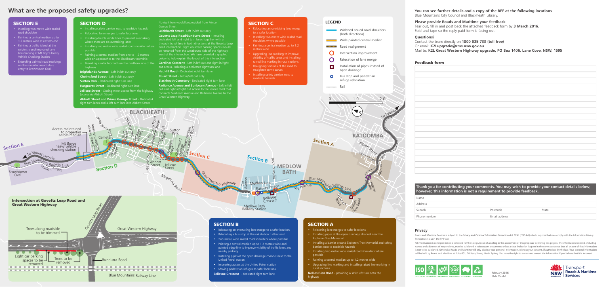

# What are the proposed safety upgrades?

### **SECTION A**

- Relocating lane merges to safer locations
- Installing pipes at the open drainage channel near the Explorers Tree Memorial
- Installing a barrier around Explorers Tree Memorial and safety barriers next to roadside hazards
- Installing two metre wide sealed road shoulders where possible
- Painting a central median up to 1.2 metres wide
- Upgrading line marking and installing raised line marking in rural sections.

Chelmsford Street - Left in/left out only **Sutton Park** - Dedicated right turn lane

Hargraves Street - Dedicated right turn lane

Nellies Glen Road - providing a safer left turn onto the highway

Jellicoe Street - Closing street access from the highway (access via Abbott Street)

#### **SECTION C**

- Relocating an overtaking lane merge to a safer location
- Installing two metre wide sealed road shoulders where possible
- Painting a central median up to 1.2 metres wide
- Upgrading line marking to improve visibility of traffic lanes and installing raised line marking in rural sections
- Realigning sections of the road to straighten some curves
- Installing safety barriers next to roadside hazards.

• Installing two metre wide sealed road shoulder where Road intersection. Eight on-street parking spaces would Govetts Leap Road/Bundurra Street - Installing dedicated left and right turn lanes together with a through travel lane in both directions at the Govetts Leap be removed from the westbound side of the highway, west of the intersection. We have provided a graphic below to help explain the layout of this intersection

**Gardiner Crescent** - Left in/left out and right in/right out access, including a dedicated rightturn lane

Hat Hill Road - Dedicated right turn lane

**Stuart Street** - Left in/left out only

**Blackheath Cemetery** - Dedicated right turn lane

- Installing two metre wide sealed road shoulders
- Painting a central median up to 1.2 metres wide at eastern end
- Painting a traffic island at the exit/entry and improved lane line marking at Mt Boyce Heavy Vehicle Checking Station
- Extending painted road markings on the shoulder area before entry to Browntown Oval.

#### **SECTION D**

- Installing safety barriers next to roadside hazards
- Relocating lane merges to safer locations
- Installing double white lines to prevent overtaking where there are no overtaking lanes
- possible • Painting a central median from one to 1.2 metres
- wide on approaches to the Blackheath township
- Providing a safer footpath on the northern side of the highway

Brightlands Avenue - Left in/left out only

Abbott Street and Prince George Street - Dedicated right turn lanes and a left turn lane into Abbott Street.

No right turn would be provided from Prince George Street

Leichhardt Street - Left in/left out only



Radiance Avenue and Sunbeam Avenue - Left in/left out and right in/right out access to the service road that connects Sunbeam Avenue and Radiance Avenue to the Great Western Highway.

#### **SECTION E**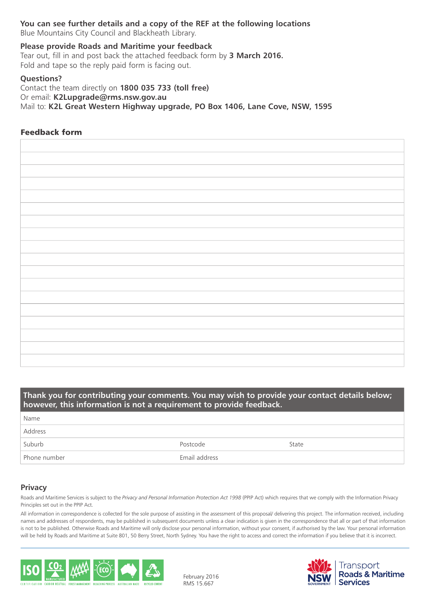### You can see further details and a copy of the REF at the following locations

Blue Mountains City Council and Blackheath Library.

#### Please provide Roads and Maritime your feedback

Tear out, fill in and post back the attached feedback form by 3 March 2016. Fold and tape so the reply paid form is facing out.

#### Questions?

Contact the team directly on 1800 035 733 (toll free) Or email: [K2Lupgrade@rms.nsw.gov.au](mailto:K2Lupgrade%40rms.nsw.gov.a?subject=) Mail to: K2L Great Western Highway upgrade, PO Box 1406, Lane Cove, NSW, 1595

#### **Feedback form**

### Thank you for contributing your comments. You may wish to provide your contact details below; however, this information is not a requirement to provide feedback. Name

| Address      |               |       |
|--------------|---------------|-------|
| Suburb       | Postcode      | State |
| Phone number | Email address |       |

#### **Privacy**

Roads and Maritime Services is subject to the *Privacy and Personal Information Protection Act 1998* (PPIP Act) which requires that we comply with the Information Privacy Principles set out in the PPIP Act.

All information in correspondence is collected for the sole purpose of assisting in the assessment of this proposal/ delivering this project. The information received, including names and addresses of respondents, may be published in subsequent documents unless a clear indication is given in the correspondence that all or part of that information is not to be published. Otherwise Roads and Maritime will only disclose your personal information, without your consent, if authorised by the law. Your personal information will be held by Roads and Maritime at Suite 801, 50 Berry Street, North Sydney. You have the right to access and correct the information if you believe that it is incorrect.



RMS 15.667 February 2016